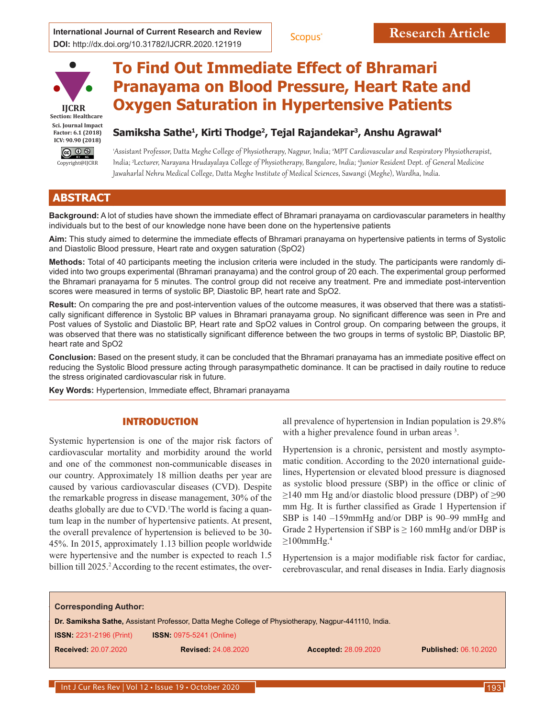

# **To Find Out Immediate Effect of Bhramari Pranayama on Blood Pressure, Heart Rate and Oxygen Saturation in Hypertensive Patients**

# **Samiksha Sathe1, Kirti Thodge2, Tejal Rajandekar3, Anshu Agrawal4**

1 Assistant Professor, Datta Meghe College of Physiotherapy, Nagpur, India; <sup>2</sup> MPT Cardiovascular and Respiratory Physiotherapist, India; <sup>3</sup> Lecturer, Narayana Hrudayalaya College of Physiotherapy, Bangalore, India; <sup>4</sup> Junior Resident Dept. of General Medicine Jawaharlal Nehru Medical College, Datta Meghe Institute of Medical Sciences, Sawangi (Meghe), Wardha, India.

# . **ABSTRACT**

**Background:** A lot of studies have shown the immediate effect of Bhramari pranayama on cardiovascular parameters in healthy individuals but to the best of our knowledge none have been done on the hypertensive patients

**Aim:** This study aimed to determine the immediate effects of Bhramari pranayama on hypertensive patients in terms of Systolic and Diastolic Blood pressure, Heart rate and oxygen saturation (SpO2)

**Methods:** Total of 40 participants meeting the inclusion criteria were included in the study. The participants were randomly divided into two groups experimental (Bhramari pranayama) and the control group of 20 each. The experimental group performed the Bhramari pranayama for 5 minutes. The control group did not receive any treatment. Pre and immediate post-intervention scores were measured in terms of systolic BP, Diastolic BP, heart rate and SpO2.

**Result:** On comparing the pre and post-intervention values of the outcome measures, it was observed that there was a statistically significant difference in Systolic BP values in Bhramari pranayama group. No significant difference was seen in Pre and Post values of Systolic and Diastolic BP, Heart rate and SpO2 values in Control group. On comparing between the groups, it was observed that there was no statistically significant difference between the two groups in terms of systolic BP, Diastolic BP, heart rate and SpO2

**Conclusion:** Based on the present study, it can be concluded that the Bhramari pranayama has an immediate positive effect on reducing the Systolic Blood pressure acting through parasympathetic dominance. It can be practised in daily routine to reduce the stress originated cardiovascular risk in future.

**Key Words:** Hypertension, Immediate effect, Bhramari pranayama

# INTRODUCTION

Systemic hypertension is one of the major risk factors of cardiovascular mortality and morbidity around the world and one of the commonest non-communicable diseases in our country. Approximately 18 million deaths per year are caused by various cardiovascular diseases (CVD). Despite the remarkable progress in disease management, 30% of the deaths globally are due to CVD.<sup>1</sup>The world is facing a quantum leap in the number of hypertensive patients. At present, the overall prevalence of hypertension is believed to be 30- 45%. In 2015, approximately 1.13 billion people worldwide were hypertensive and the number is expected to reach 1.5 billion till 2025.<sup>2</sup> According to the recent estimates, the overall prevalence of hypertension in Indian population is 29.8% with a higher prevalence found in urban areas <sup>3</sup>.

Hypertension is a chronic, persistent and mostly asymptomatic condition. According to the 2020 international guidelines, Hypertension or elevated blood pressure is diagnosed as systolic blood pressure (SBP) in the office or clinic of  $\geq$ 140 mm Hg and/or diastolic blood pressure (DBP) of  $\geq$ 90 mm Hg. It is further classified as Grade 1 Hypertension if SBP is 140 –159mmHg and/or DBP is 90–99 mmHg and Grade 2 Hypertension if SBP is  $\geq 160$  mmHg and/or DBP is  $\geq$ 100mmHg.<sup>4</sup>

Hypertension is a major modifiable risk factor for cardiac, cerebrovascular, and renal diseases in India. Early diagnosis

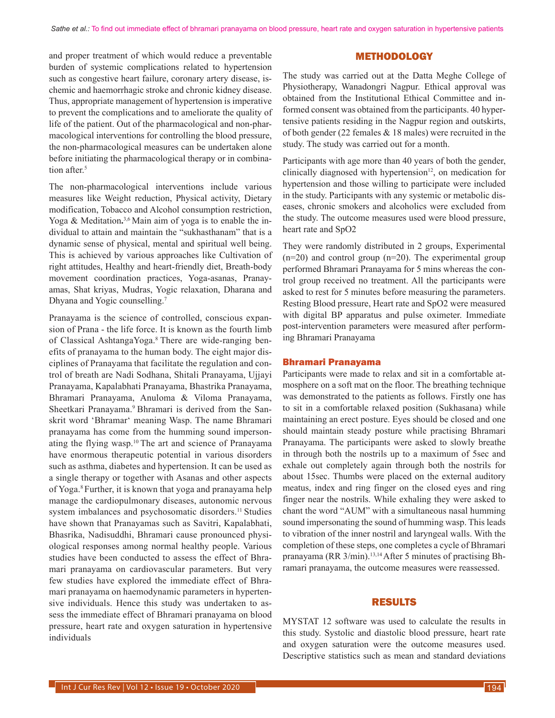and proper treatment of which would reduce a preventable burden of systemic complications related to hypertension such as congestive heart failure, coronary artery disease, ischemic and haemorrhagic stroke and chronic kidney disease. Thus, appropriate management of hypertension is imperative to prevent the complications and to ameliorate the quality of life of the patient. Out of the pharmacological and non-pharmacological interventions for controlling the blood pressure, the non-pharmacological measures can be undertaken alone before initiating the pharmacological therapy or in combination after.<sup>5</sup>

The non-pharmacological interventions include various measures like Weight reduction, Physical activity, Dietary modification, Tobacco and Alcohol consumption restriction, Yoga & Meditation.<sup>3,6</sup> Main aim of yoga is to enable the individual to attain and maintain the "sukhasthanam" that is a dynamic sense of physical, mental and spiritual well being. This is achieved by various approaches like Cultivation of right attitudes, Healthy and heart-friendly diet, Breath-body movement coordination practices, Yoga-asanas, Pranayamas, Shat kriyas, Mudras, Yogic relaxation, Dharana and Dhyana and Yogic counselling.7

Pranayama is the science of controlled, conscious expansion of Prana - the life force. It is known as the fourth limb of Classical AshtangaYoga.8 There are wide-ranging benefits of pranayama to the human body. The eight major disciplines of Pranayama that facilitate the regulation and control of breath are Nadi Sodhana, Shitali Pranayama, Ujjayi Pranayama, Kapalabhati Pranayama, Bhastrika Pranayama, Bhramari Pranayama, Anuloma & Viloma Pranayama, Sheetkari Pranayama.9 Bhramari is derived from the Sanskrit word 'Bhramar' meaning Wasp. The name Bhramari pranayama has come from the humming sound impersonating the flying wasp.10 The art and science of Pranayama have enormous therapeutic potential in various disorders such as asthma, diabetes and hypertension. It can be used as a single therapy or together with Asanas and other aspects of Yoga.8 Further, it is known that yoga and pranayama help manage the cardiopulmonary diseases, autonomic nervous system imbalances and psychosomatic disorders.<sup>11</sup> Studies have shown that Pranayamas such as Savitri, Kapalabhati, Bhasrika, Nadisuddhi, Bhramari cause pronounced physiological responses among normal healthy people. Various studies have been conducted to assess the effect of Bhramari pranayama on cardiovascular parameters. But very few studies have explored the immediate effect of Bhramari pranayama on haemodynamic parameters in hypertensive individuals. Hence this study was undertaken to assess the immediate effect of Bhramari pranayama on blood pressure, heart rate and oxygen saturation in hypertensive individuals

## METHODOLOGY

The study was carried out at the Datta Meghe College of Physiotherapy, Wanadongri Nagpur. Ethical approval was obtained from the Institutional Ethical Committee and informed consent was obtained from the participants. 40 hypertensive patients residing in the Nagpur region and outskirts, of both gender (22 females & 18 males) were recruited in the study. The study was carried out for a month.

Participants with age more than 40 years of both the gender, clinically diagnosed with hypertension $12$ , on medication for hypertension and those willing to participate were included in the study. Participants with any systemic or metabolic diseases, chronic smokers and alcoholics were excluded from the study. The outcome measures used were blood pressure, heart rate and SpO2

They were randomly distributed in 2 groups, Experimental  $(n=20)$  and control group  $(n=20)$ . The experimental group performed Bhramari Pranayama for 5 mins whereas the control group received no treatment. All the participants were asked to rest for 5 minutes before measuring the parameters. Resting Blood pressure, Heart rate and SpO2 were measured with digital BP apparatus and pulse oximeter. Immediate post-intervention parameters were measured after performing Bhramari Pranayama

#### Bhramari Pranayama

Participants were made to relax and sit in a comfortable atmosphere on a soft mat on the floor. The breathing technique was demonstrated to the patients as follows. Firstly one has to sit in a comfortable relaxed position (Sukhasana) while maintaining an erect posture. Eyes should be closed and one should maintain steady posture while practising Bhramari Pranayama. The participants were asked to slowly breathe in through both the nostrils up to a maximum of 5sec and exhale out completely again through both the nostrils for about 15sec. Thumbs were placed on the external auditory meatus, index and ring finger on the closed eyes and ring finger near the nostrils. While exhaling they were asked to chant the word "AUM" with a simultaneous nasal humming sound impersonating the sound of humming wasp. This leads to vibration of the inner nostril and laryngeal walls. With the completion of these steps, one completes a cycle of Bhramari pranayama (RR 3/min).<sup>13,14</sup> After 5 minutes of practising Bhramari pranayama, the outcome measures were reassessed.

#### RESULTS

MYSTAT 12 software was used to calculate the results in this study. Systolic and diastolic blood pressure, heart rate and oxygen saturation were the outcome measures used. Descriptive statistics such as mean and standard deviations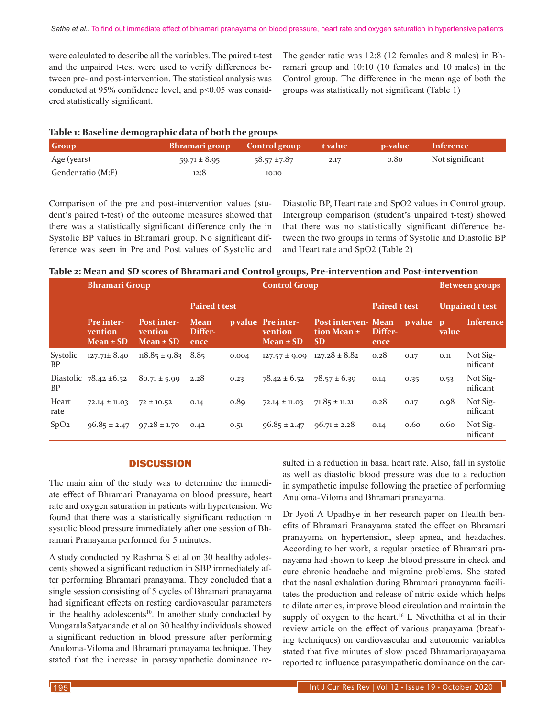were calculated to describe all the variables. The paired t-test and the unpaired t-test were used to verify differences between pre- and post-intervention. The statistical analysis was conducted at 95% confidence level, and p<0.05 was considered statistically significant.

The gender ratio was 12:8 (12 females and 8 males) in Bhramari group and 10:10 (10 females and 10 males) in the Control group. The difference in the mean age of both the groups was statistically not significant (Table 1)

|  |  | Table 1: Baseline demographic data of both the groups |
|--|--|-------------------------------------------------------|
|  |  |                                                       |

| <b>Group</b>       | Bhramari group   | <b>Control group</b> | t value | p-value | Inference       |
|--------------------|------------------|----------------------|---------|---------|-----------------|
| Age (years)        | $59.71 \pm 8.95$ | $58.57 \pm 7.87$     | 2.17    | 0.80    | Not significant |
| Gender ratio (M:F) | 12:8             | 10:10                |         |         |                 |

Comparison of the pre and post-intervention values (student's paired t-test) of the outcome measures showed that there was a statistically significant difference only the in Systolic BP values in Bhramari group. No significant difference was seen in Pre and Post values of Systolic and Diastolic BP, Heart rate and SpO2 values in Control group. Intergroup comparison (student's unpaired t-test) showed that there was no statistically significant difference between the two groups in terms of Systolic and Diastolic BP and Heart rate and SpO2 (Table 2)

| Table 2: Mean and SD scores of Bhramari and Control groups, Pre-intervention and Post-intervention |  |  |
|----------------------------------------------------------------------------------------------------|--|--|
|                                                                                                    |  |  |

|                       | <b>Bhramari Group</b><br><b>Paired t test</b> |                                                |                         |       | <b>Control Group</b>                           |                                                            |                 |                        | <b>Between groups</b> |                      |
|-----------------------|-----------------------------------------------|------------------------------------------------|-------------------------|-------|------------------------------------------------|------------------------------------------------------------|-----------------|------------------------|-----------------------|----------------------|
|                       |                                               |                                                |                         |       |                                                | <b>Paired t test</b>                                       |                 | <b>Unpaired t test</b> |                       |                      |
|                       | <b>Pre</b> inter-<br>vention<br>$Mean \pm SD$ | <b>Post inter-</b><br>vention<br>$Mean \pm SD$ | Mean<br>Differ-<br>ence |       | p value Pre inter-<br>vention<br>$Mean \pm SD$ | <b>Post interven- Mean</b><br>tion Mean $\pm$<br><b>SD</b> | Differ-<br>ence | <b>p</b> value         | $\mathbf{D}$<br>value | Inference            |
| Systolic<br><b>BP</b> | $127.71 \pm 8.40$                             | $118.85 \pm 9.83$                              | 8.85                    | 0.004 | $127.57 \pm 9.09$                              | $127.28 \pm 8.82$                                          | 0.28            | 0.17                   | 0.11                  | Not Sig-<br>nificant |
| <b>BP</b>             | Diastolic $78.42 \pm 6.52$                    | $80.71 \pm 5.99$                               | 2.28                    | 0.23  | $78.42 \pm 6.52$                               | $78.57 \pm 6.39$                                           | 0.14            | 0.35                   | 0.53                  | Not Sig-<br>nificant |
| Heart<br>rate         | $72.14 \pm 11.03$                             | $72 \pm 10.52$                                 | 0.14                    | 0.89  | $72.14 \pm 11.03$                              | $71.85 \pm 11.21$                                          | 0.28            | 0.17                   | 0.98                  | Not Sig-<br>nificant |
| SpO <sub>2</sub>      | $96.85 \pm 2.47$                              | $97.28 \pm 1.70$                               | 0.42                    | 0.51  | $96.85 \pm 2.47$                               | $96.71 \pm 2.28$                                           | 0.14            | 0.60                   | 0.60                  | Not Sig-<br>nificant |

### **DISCUSSION**

The main aim of the study was to determine the immediate effect of Bhramari Pranayama on blood pressure, heart rate and oxygen saturation in patients with hypertension. We found that there was a statistically significant reduction in systolic blood pressure immediately after one session of Bhramari Pranayama performed for 5 minutes.

A study conducted by Rashma S et al on 30 healthy adolescents showed a significant reduction in SBP immediately after performing Bhramari pranayama. They concluded that a single session consisting of 5 cycles of Bhramari pranayama had significant effects on resting cardiovascular parameters in the healthy adolescents $10$ . In another study conducted by VungaralaSatyanande et al on 30 healthy individuals showed a significant reduction in blood pressure after performing Anuloma-Viloma and Bhramari pranayama technique. They stated that the increase in parasympathetic dominance resulted in a reduction in basal heart rate. Also, fall in systolic as well as diastolic blood pressure was due to a reduction in sympathetic impulse following the practice of performing Anuloma-Viloma and Bhramari pranayama.

Dr Jyoti A Upadhye in her research paper on Health benefits of Bhramari Pranayama stated the effect on Bhramari pranayama on hypertension, sleep apnea, and headaches. According to her work, a regular practice of Bhramari pranayama had shown to keep the blood pressure in check and cure chronic headache and migraine problems. She stated that the nasal exhalation during Bhramari pranayama facilitates the production and release of nitric oxide which helps to dilate arteries, improve blood circulation and maintain the supply of oxygen to the heart.<sup>16</sup> L Nivethitha et al in their review article on the effect of various praṇayama (breathing techniques) on cardiovascular and autonomic variables stated that five minutes of slow paced Bhramaripraṇayama reported to influence parasympathetic dominance on the car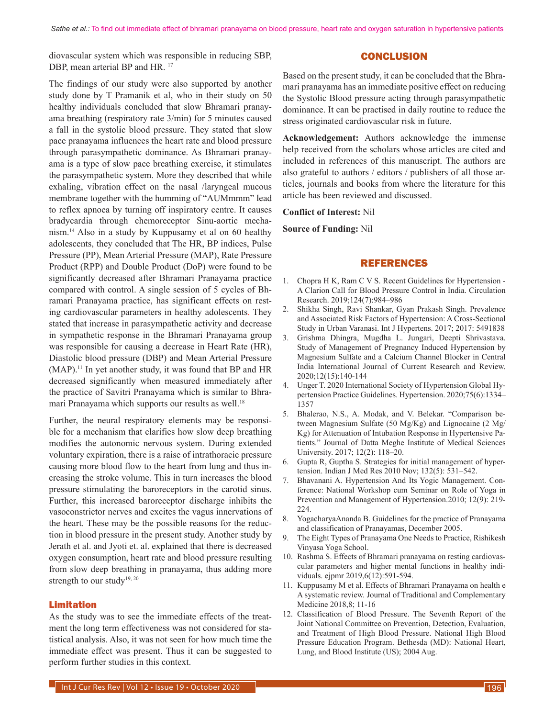diovascular system which was responsible in reducing SBP, DBP, mean arterial BP and HR.<sup>17</sup>

## **CONCLUSION**

The findings of our study were also supported by another study done by T Pramanik et al, who in their study on 50 healthy individuals concluded that slow Bhramari pranayama breathing (respiratory rate 3/min) for 5 minutes caused a fall in the systolic blood pressure. They stated that slow pace pranayama influences the heart rate and blood pressure through parasympathetic dominance. As Bhramari pranayama is a type of slow pace breathing exercise, it stimulates the parasympathetic system. More they described that while exhaling, vibration effect on the nasal /laryngeal mucous membrane together with the humming of "AUMmmm" lead to reflex apnoea by turning off inspiratory centre. It causes bradycardia through chemoreceptor Sinu-aortic mechanism.14 Also in a study by Kuppusamy et al on 60 healthy adolescents, they concluded that The HR, BP indices, Pulse Pressure (PP), Mean Arterial Pressure (MAP), Rate Pressure Product (RPP) and Double Product (DoP) were found to be significantly decreased after Bhramari Pranayama practice compared with control. A single session of 5 cycles of Bhramari Pranayama practice, has significant effects on resting cardiovascular parameters in healthy adolescents. They stated that increase in parasympathetic activity and decrease in sympathetic response in the Bhramari Pranayama group was responsible for causing a decrease in Heart Rate (HR), Diastolic blood pressure (DBP) and Mean Arterial Pressure (MAP).11 In yet another study, it was found that BP and HR decreased significantly when measured immediately after the practice of Savitri Pranayama which is similar to Bhramari Pranayama which supports our results as well.<sup>18</sup>

Further, the neural respiratory elements may be responsible for a mechanism that clarifies how slow deep breathing modifies the autonomic nervous system. During extended voluntary expiration, there is a raise of intrathoracic pressure causing more blood flow to the heart from lung and thus increasing the stroke volume. This in turn increases the blood pressure stimulating the baroreceptors in the carotid sinus. Further, this increased baroreceptor discharge inhibits the vasoconstrictor nerves and excites the vagus innervations of the heart. These may be the possible reasons for the reduction in blood pressure in the present study. Another study by Jerath et al. and Jyoti et. al. explained that there is decreased oxygen consumption, heart rate and blood pressure resulting from slow deep breathing in pranayama, thus adding more strength to our study<sup>19, 20</sup>

#### Limitation

As the study was to see the immediate effects of the treatment the long term effectiveness was not considered for statistical analysis. Also, it was not seen for how much time the immediate effect was present. Thus it can be suggested to perform further studies in this context.

Based on the present study, it can be concluded that the Bhramari pranayama has an immediate positive effect on reducing the Systolic Blood pressure acting through parasympathetic dominance. It can be practised in daily routine to reduce the stress originated cardiovascular risk in future.

**Acknowledgement:** Authors acknowledge the immense help received from the scholars whose articles are cited and included in references of this manuscript. The authors are also grateful to authors / editors / publishers of all those articles, journals and books from where the literature for this article has been reviewed and discussed.

#### **Conflict of Interest:** Nil

**Source of Funding:** Nil

#### REFERENCES

- 1. Chopra H K, Ram C V S. Recent Guidelines for Hypertension A Clarion Call for Blood Pressure Control in India. Circulation Research. 2019;124(7):984–986
- 2. Shikha Singh, Ravi Shankar, Gyan Prakash Singh. Prevalence and Associated Risk Factors of Hypertension: A Cross-Sectional Study in Urban Varanasi. Int J Hypertens. 2017; 2017: 5491838
- 3. Grishma Dhingra, Mugdha L. Jungari, Deepti Shrivastava. Study of Management of Pregnancy Induced Hypertension by Magnesium Sulfate and a Calcium Channel Blocker in Central India International Journal of Current Research and Review. 2020;12(15):140-144
- 4. Unger T. 2020 International Society of Hypertension Global Hypertension Practice Guidelines. Hypertension. 2020;75(6):1334– 1357
- 5. Bhalerao, N.S., A. Modak, and V. Belekar. "Comparison between Magnesium Sulfate (50 Mg/Kg) and Lignocaine (2 Mg/ Kg) for Attenuation of Intubation Response in Hypertensive Patients." Journal of Datta Meghe Institute of Medical Sciences University. 2017; 12(2): 118–20.
- 6. Gupta R, Guptha S. Strategies for initial management of hypertension. Indian J Med Res 2010 Nov; 132(5): 531–542.
- 7. Bhavanani A. Hypertension And Its Yogic Management. Conference: National Workshop cum Seminar on Role of Yoga in Prevention and Management of Hypertension.2010; 12(9): 219- 224.
- 8. YogacharyaAnanda B. Guidelines for the practice of Pranayama and classification of Pranayamas, December 2005.
- 9. The Eight Types of Pranayama One Needs to Practice, Rishikesh Vinyasa Yoga School.
- 10. Rashma S. Effects of Bhramari pranayama on resting cardiovascular parameters and higher mental functions in healthy individuals. ejpmr 2019,6(12):591-594.
- 11. Kuppusamy M et al. Effects of Bhramari Pranayama on health e A systematic review. Journal of Traditional and Complementary Medicine 2018,8; 11-16
- 12. Classification of Blood Pressure. The Seventh Report of the Joint National Committee on Prevention, Detection, Evaluation, and Treatment of High Blood Pressure. National High Blood Pressure Education Program. Bethesda (MD): National Heart, Lung, and Blood Institute (US); 2004 Aug.